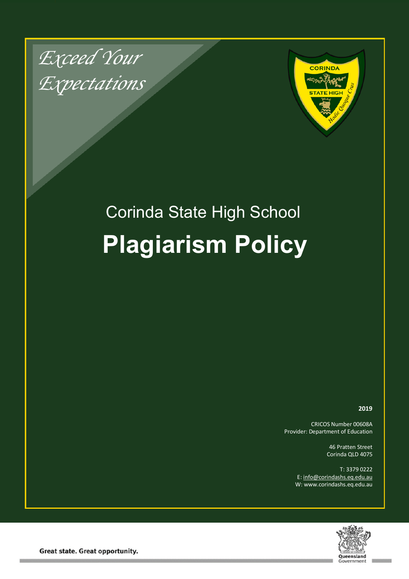*Exceed Your Expectations*



# Corinda State High School **Plagiarism Policy**

**2019**

CRICOS Number 00608A Provider: Department of Education

> 46 Pratten Street Corinda QLD 4075

T: 3379 0222 E: info@corindashs.eq.edu.au W: www.corindashs.eq.edu.au



Great state. Great opportunity.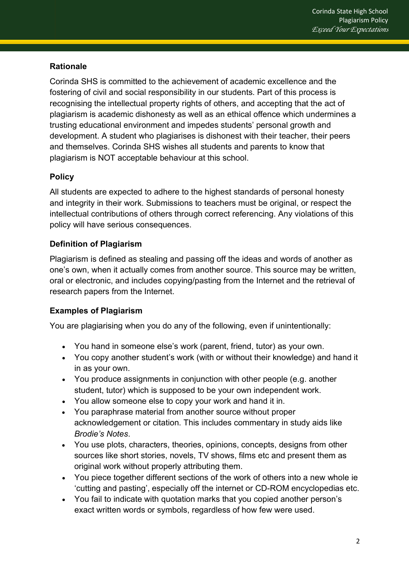### **Rationale**

Corinda SHS is committed to the achievement of academic excellence and the fostering of civil and social responsibility in our students. Part of this process is recognising the intellectual property rights of others, and accepting that the act of plagiarism is academic dishonesty as well as an ethical offence which undermines a trusting educational environment and impedes students' personal growth and development. A student who plagiarises is dishonest with their teacher, their peers and themselves. Corinda SHS wishes all students and parents to know that plagiarism is NOT acceptable behaviour at this school.

## **Policy**

All students are expected to adhere to the highest standards of personal honesty and integrity in their work. Submissions to teachers must be original, or respect the intellectual contributions of others through correct referencing. Any violations of this policy will have serious consequences.

#### **Definition of Plagiarism**

Plagiarism is defined as stealing and passing off the ideas and words of another as one's own, when it actually comes from another source. This source may be written, oral or electronic, and includes copying/pasting from the Internet and the retrieval of research papers from the Internet.

#### **Examples of Plagiarism**

You are plagiarising when you do any of the following, even if unintentionally:

- You hand in someone else's work (parent, friend, tutor) as your own.
- You copy another student's work (with or without their knowledge) and hand it in as your own.
- You produce assignments in conjunction with other people (e.g. another student, tutor) which is supposed to be your own independent work.
- You allow someone else to copy your work and hand it in.
- You paraphrase material from another source without proper acknowledgement or citation. This includes commentary in study aids like *Brodie's Notes*.
- You use plots, characters, theories, opinions, concepts, designs from other sources like short stories, novels, TV shows, films etc and present them as original work without properly attributing them.
- You piece together different sections of the work of others into a new whole ie 'cutting and pasting', especially off the internet or CD-ROM encyclopedias etc.
- You fail to indicate with quotation marks that you copied another person's exact written words or symbols, regardless of how few were used.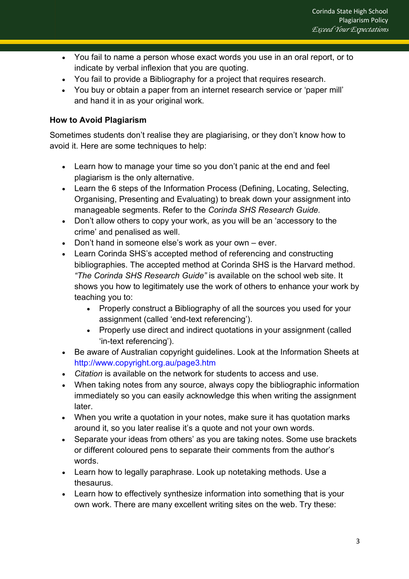- You fail to name a person whose exact words you use in an oral report, or to indicate by verbal inflexion that you are quoting.
- You fail to provide a Bibliography for a project that requires research.
- You buy or obtain a paper from an internet research service or 'paper mill' and hand it in as your original work.

#### **How to Avoid Plagiarism**

Sometimes students don't realise they are plagiarising, or they don't know how to avoid it. Here are some techniques to help:

- Learn how to manage your time so you don't panic at the end and feel plagiarism is the only alternative.
- Learn the 6 steps of the Information Process (Defining, Locating, Selecting, Organising, Presenting and Evaluating) to break down your assignment into manageable segments. Refer to the *Corinda SHS Research Guide.*
- Don't allow others to copy your work, as you will be an 'accessory to the crime' and penalised as well.
- Don't hand in someone else's work as your own ever.
- Learn Corinda SHS's accepted method of referencing and constructing bibliographies. The accepted method at Corinda SHS is the Harvard method. *"The Corinda SHS Research Guide"* is available on the school web site. It shows you how to legitimately use the work of others to enhance your work by teaching you to:
	- Properly construct a Bibliography of all the sources you used for your assignment (called 'end-text referencing').
	- Properly use direct and indirect quotations in your assignment (called 'in-text referencing').
- Be aware of Australian copyright guidelines. Look at the Information Sheets at http://www.copyright.org.au/page3.htm
- *Citation* is available on the network for students to access and use.
- When taking notes from any source, always copy the bibliographic information immediately so you can easily acknowledge this when writing the assignment later.
- When you write a quotation in your notes, make sure it has quotation marks around it, so you later realise it's a quote and not your own words.
- Separate your ideas from others' as you are taking notes. Some use brackets or different coloured pens to separate their comments from the author's words.
- Learn how to legally paraphrase. Look up notetaking methods. Use a thesaurus.
- Learn how to effectively synthesize information into something that is your own work. There are many excellent writing sites on the web. Try these: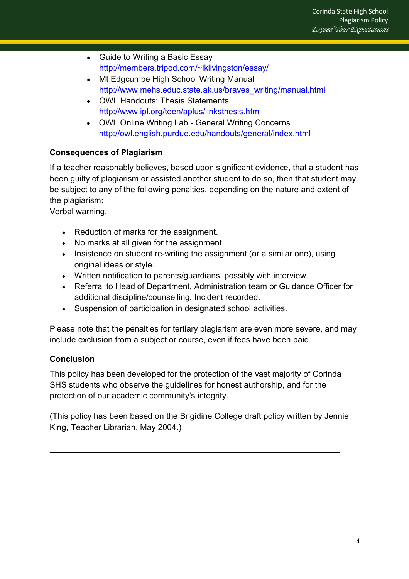- Guide to Writing a Basic Essay http://members.tripod.com/~lklivingston/essay/
- Mt Edgcumbe High School Writing Manual http://www.mehs.educ.state.ak.us/braves\_writing/manual.html
- OWL Handouts: Thesis Statements http://www.ipl.org/teen/aplus/linksthesis.htm
- OWL Online Writing Lab General Writing Concerns http://owl.english.purdue.edu/handouts/general/index.html

## **Consequences of Plagiarism**

If a teacher reasonably believes, based upon significant evidence, that a student has been guilty of plagiarism or assisted another student to do so, then that student may be subject to any of the following penalties, depending on the nature and extent of the plagiarism:

Verbal warning.

- Reduction of marks for the assignment.
- No marks at all given for the assignment.
- Insistence on student re-writing the assignment (or a similar one), using original ideas or style.
- Written notification to parents/guardians, possibly with interview.
- Referral to Head of Department, Administration team or Guidance Officer for additional discipline/counselling. Incident recorded.
- Suspension of participation in designated school activities.

Please note that the penalties for tertiary plagiarism are even more severe, and may include exclusion from a subject or course, even if fees have been paid.

## **Conclusion**

This policy has been developed for the protection of the vast majority of Corinda SHS students who observe the guidelines for honest authorship, and for the protection of our academic community's integrity.

(This policy has been based on the Brigidine College draft policy written by Jennie King, Teacher Librarian, May 2004.)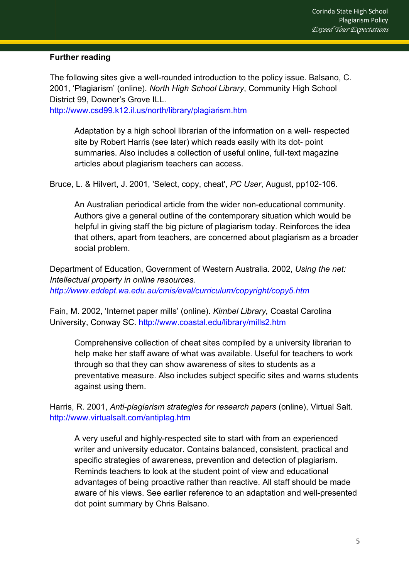#### **Further reading**

The following sites give a well-rounded introduction to the policy issue. Balsano, C. 2001, 'Plagiarism' (online). *North High School Library*, Community High School District 99, Downer's Grove ILL.

http://www.csd99.k12.il.us/north/library/plagiarism.htm

Adaptation by a high school librarian of the information on a well- respected site by Robert Harris (see later) which reads easily with its dot- point summaries. Also includes a collection of useful online, full-text magazine articles about plagiarism teachers can access.

Bruce, L. & Hilvert, J. 2001, 'Select, copy, cheat', *PC User*, August, pp102-106.

An Australian periodical article from the wider non-educational community. Authors give a general outline of the contemporary situation which would be helpful in giving staff the big picture of plagiarism today. Reinforces the idea that others, apart from teachers, are concerned about plagiarism as a broader social problem.

Department of Education, Government of Western Australia. 2002, *Using the net: Intellectual property in online resources. http://www.eddept.wa.edu.au/cmis/eval/curriculum/copyright/copy5.htm* 

Fain, M. 2002, 'Internet paper mills' (online). *Kimbel Library,* Coastal Carolina University, Conway SC. http://www.coastal.edu/library/mills2.htm

Comprehensive collection of cheat sites compiled by a university librarian to help make her staff aware of what was available. Useful for teachers to work through so that they can show awareness of sites to students as a preventative measure. Also includes subject specific sites and warns students against using them.

Harris, R. 2001, *Anti-plagiarism strategies for research papers* (online), Virtual Salt. http://www.virtualsalt.com/antiplag.htm

A very useful and highly-respected site to start with from an experienced writer and university educator. Contains balanced, consistent, practical and specific strategies of awareness, prevention and detection of plagiarism. Reminds teachers to look at the student point of view and educational advantages of being proactive rather than reactive. All staff should be made aware of his views. See earlier reference to an adaptation and well-presented dot point summary by Chris Balsano.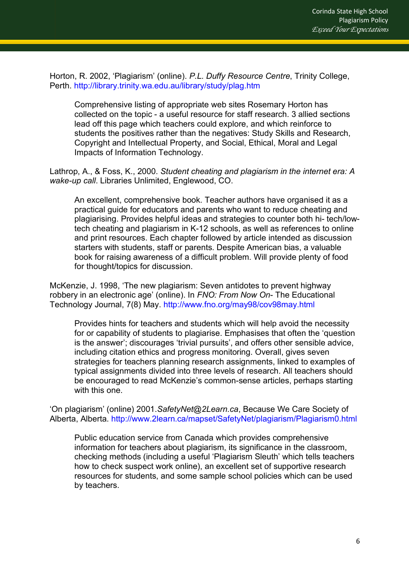Horton, R. 2002, 'Plagiarism' (online). *P.L. Duffy Resource Centre*, Trinity College, Perth. http://library.trinity.wa.edu.au/library/study/plag.htm

Comprehensive listing of appropriate web sites Rosemary Horton has collected on the topic - a useful resource for staff research. 3 allied sections lead off this page which teachers could explore, and which reinforce to students the positives rather than the negatives: Study Skills and Research, Copyright and Intellectual Property, and Social, Ethical, Moral and Legal Impacts of Information Technology.

Lathrop, A., & Foss, K., 2000. *Student cheating and plagiarism in the internet era: A wake-up call*. Libraries Unlimited, Englewood, CO.

An excellent, comprehensive book. Teacher authors have organised it as a practical guide for educators and parents who want to reduce cheating and plagiarising. Provides helpful ideas and strategies to counter both hi- tech/lowtech cheating and plagiarism in K-12 schools, as well as references to online and print resources. Each chapter followed by article intended as discussion starters with students, staff or parents. Despite American bias, a valuable book for raising awareness of a difficult problem. Will provide plenty of food for thought/topics for discussion.

McKenzie, J. 1998, 'The new plagiarism: Seven antidotes to prevent highway robbery in an electronic age' (online). In *FNO: From Now On*- The Educational Technology Journal, 7(8) May. http://www.fno.org/may98/cov98may.html

Provides hints for teachers and students which will help avoid the necessity for or capability of students to plagiarise. Emphasises that often the 'question is the answer'; discourages 'trivial pursuits', and offers other sensible advice, including citation ethics and progress monitoring. Overall, gives seven strategies for teachers planning research assignments, linked to examples of typical assignments divided into three levels of research. All teachers should be encouraged to read McKenzie's common-sense articles, perhaps starting with this one.

'On plagiarism' (online) 2001.*SafetyNet@2Learn.ca*, Because We Care Society of Alberta, Alberta. http://www.2learn.ca/mapset/SafetyNet/plagiarism/Plagiarism0.html

Public education service from Canada which provides comprehensive information for teachers about plagiarism, its significance in the classroom, checking methods (including a useful 'Plagiarism Sleuth' which tells teachers how to check suspect work online), an excellent set of supportive research resources for students, and some sample school policies which can be used by teachers.